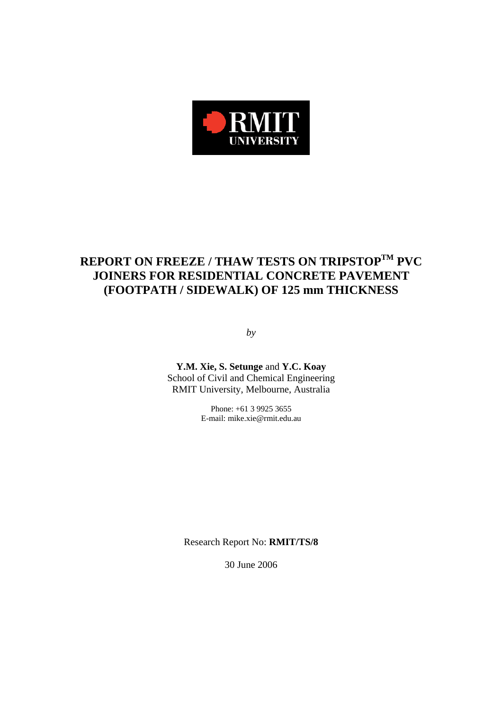

# **REPORT ON FREEZE / THAW TESTS ON TRIPSTOPTM PVC JOINERS FOR RESIDENTIAL CONCRETE PAVEMENT (FOOTPATH / SIDEWALK) OF 125 mm THICKNESS**

*by* 

**Y.M. Xie, S. Setunge** and **Y.C. Koay**  School of Civil and Chemical Engineering RMIT University, Melbourne, Australia

> Phone: +61 3 9925 3655 E-mail: mike.xie@rmit.edu.au

Research Report No: **RMIT/TS/8**

30 June 2006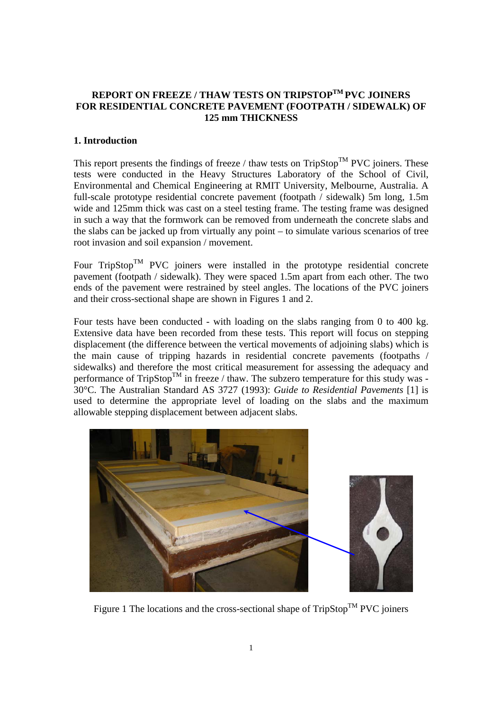## **REPORT ON FREEZE / THAW TESTS ON TRIPSTOPTM PVC JOINERS FOR RESIDENTIAL CONCRETE PAVEMENT (FOOTPATH / SIDEWALK) OF 125 mm THICKNESS**

## **1. Introduction**

This report presents the findings of freeze / thaw tests on  $TripStop^{TM}$  PVC joiners. These tests were conducted in the Heavy Structures Laboratory of the School of Civil, Environmental and Chemical Engineering at RMIT University, Melbourne, Australia. A full-scale prototype residential concrete pavement (footpath / sidewalk) 5m long, 1.5m wide and 125mm thick was cast on a steel testing frame. The testing frame was designed in such a way that the formwork can be removed from underneath the concrete slabs and the slabs can be jacked up from virtually any point – to simulate various scenarios of tree root invasion and soil expansion / movement.

Four  $TripStop<sup>TM</sup> PVC$  joiners were installed in the prototype residential concrete pavement (footpath / sidewalk). They were spaced 1.5m apart from each other. The two ends of the pavement were restrained by steel angles. The locations of the PVC joiners and their cross-sectional shape are shown in Figures 1 and 2.

Four tests have been conducted - with loading on the slabs ranging from 0 to 400 kg. Extensive data have been recorded from these tests. This report will focus on stepping displacement (the difference between the vertical movements of adjoining slabs) which is the main cause of tripping hazards in residential concrete pavements (footpaths / sidewalks) and therefore the most critical measurement for assessing the adequacy and performance of  $TripStop^{TM}$  in freeze / thaw. The subzero temperature for this study was -30°C. The Australian Standard AS 3727 (1993): *Guide to Residential Pavements* [1] is used to determine the appropriate level of loading on the slabs and the maximum allowable stepping displacement between adjacent slabs.



Figure 1 The locations and the cross-sectional shape of  $TripStop^{TM}$  PVC joiners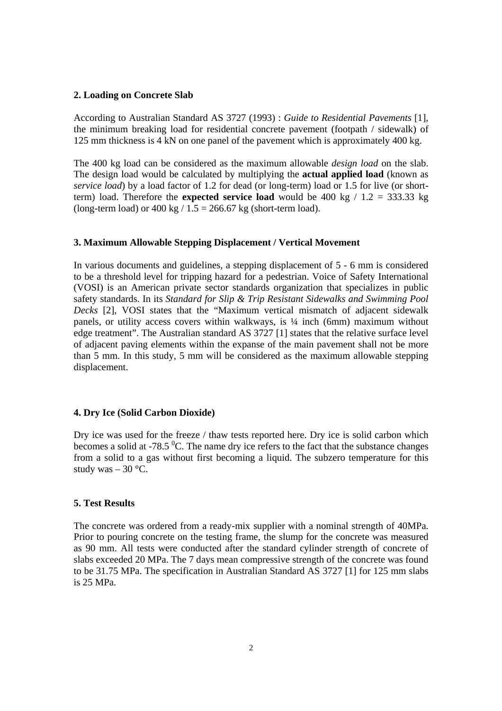#### **2. Loading on Concrete Slab**

According to Australian Standard AS 3727 (1993) : *Guide to Residential Pavements* [1], the minimum breaking load for residential concrete pavement (footpath / sidewalk) of 125 mm thickness is 4 kN on one panel of the pavement which is approximately 400 kg.

The 400 kg load can be considered as the maximum allowable *design load* on the slab. The design load would be calculated by multiplying the **actual applied load** (known as *service load*) by a load factor of 1.2 for dead (or long-term) load or 1.5 for live (or shortterm) load. Therefore the **expected service load** would be 400 kg  $/ 1.2 = 333.33$  kg (long-term load) or  $400 \text{ kg}$  /  $1.5 = 266.67 \text{ kg}$  (short-term load).

#### **3. Maximum Allowable Stepping Displacement / Vertical Movement**

In various documents and guidelines, a stepping displacement of 5 - 6 mm is considered to be a threshold level for tripping hazard for a pedestrian. Voice of Safety International (VOSI) is an American private sector standards organization that specializes in public safety standards. In its *Standard for Slip & Trip Resistant Sidewalks and Swimming Pool Decks* [2], VOSI states that the "Maximum vertical mismatch of adjacent sidewalk panels, or utility access covers within walkways, is ¼ inch (6mm) maximum without edge treatment". The Australian standard AS 3727 [1] states that the relative surface level of adjacent paving elements within the expanse of the main pavement shall not be more than 5 mm. In this study, 5 mm will be considered as the maximum allowable stepping displacement.

## **4. Dry Ice (Solid Carbon Dioxide)**

Dry ice was used for the freeze / thaw tests reported here. Dry ice is solid carbon which becomes a solid at -78.5 $\mathrm{^{0}C}$ . The name dry ice refers to the fact that the substance changes from a solid to a gas without first becoming a liquid. The subzero temperature for this study was  $-30$  °C.

## **5. Test Results**

The concrete was ordered from a ready-mix supplier with a nominal strength of 40MPa. Prior to pouring concrete on the testing frame, the slump for the concrete was measured as 90 mm. All tests were conducted after the standard cylinder strength of concrete of slabs exceeded 20 MPa. The 7 days mean compressive strength of the concrete was found to be 31.75 MPa. The specification in Australian Standard AS 3727 [1] for 125 mm slabs is 25 MPa.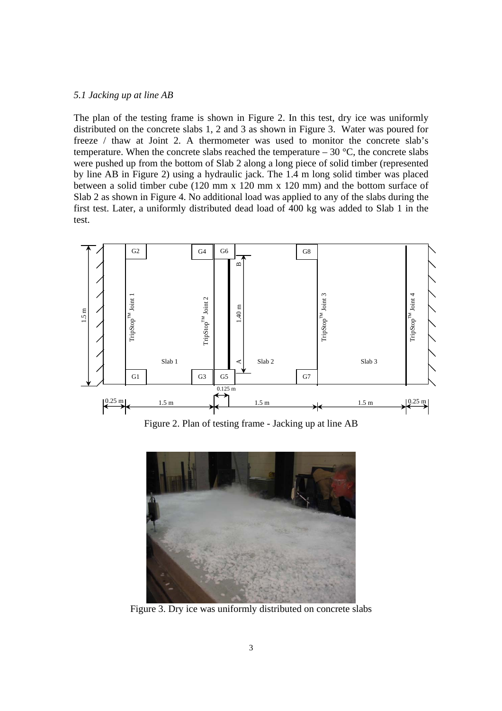#### *5.1 Jacking up at line AB*

The plan of the testing frame is shown in Figure 2. In this test, dry ice was uniformly distributed on the concrete slabs 1, 2 and 3 as shown in Figure 3. Water was poured for freeze / thaw at Joint 2. A thermometer was used to monitor the concrete slab's temperature. When the concrete slabs reached the temperature  $-30$  °C, the concrete slabs were pushed up from the bottom of Slab 2 along a long piece of solid timber (represented by line AB in Figure 2) using a hydraulic jack. The 1.4 m long solid timber was placed between a solid timber cube (120 mm x 120 mm x 120 mm) and the bottom surface of Slab 2 as shown in Figure 4. No additional load was applied to any of the slabs during the first test. Later, a uniformly distributed dead load of 400 kg was added to Slab 1 in the test.



Figure 2. Plan of testing frame - Jacking up at line AB



Figure 3. Dry ice was uniformly distributed on concrete slabs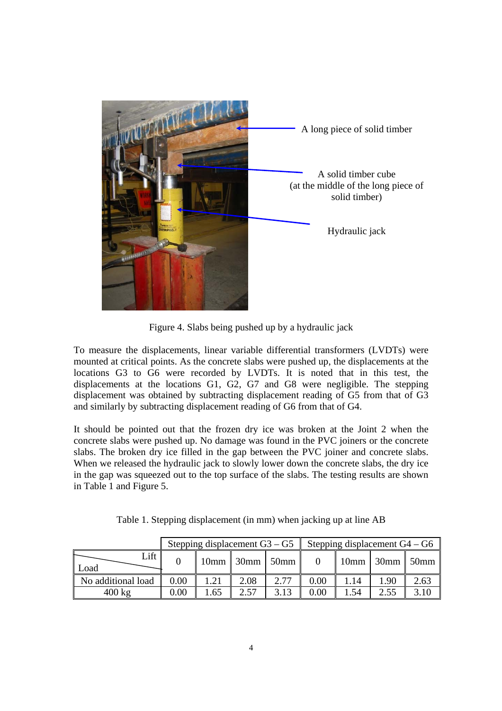

Figure 4. Slabs being pushed up by a hydraulic jack

To measure the displacements, linear variable differential transformers (LVDTs) were mounted at critical points. As the concrete slabs were pushed up, the displacements at the locations G3 to G6 were recorded by LVDTs. It is noted that in this test, the displacements at the locations G1, G2, G7 and G8 were negligible. The stepping displacement was obtained by subtracting displacement reading of G5 from that of G3 and similarly by subtracting displacement reading of G6 from that of G4.

It should be pointed out that the frozen dry ice was broken at the Joint 2 when the concrete slabs were pushed up. No damage was found in the PVC joiners or the concrete slabs. The broken dry ice filled in the gap between the PVC joiner and concrete slabs. When we released the hydraulic jack to slowly lower down the concrete slabs, the dry ice in the gap was squeezed out to the top surface of the slabs. The testing results are shown in Table 1 and Figure 5.

|                    | Stepping displacement $G3 - G5$ |      |                    |      | Stepping displacement $G4 - G6$ |      |                  |      |
|--------------------|---------------------------------|------|--------------------|------|---------------------------------|------|------------------|------|
| Lift<br>Load       |                                 |      | $10mm$ 30mm $50mm$ |      |                                 |      | $10mm$ 30mm 50mm |      |
| No additional load | 0.00                            | 1.21 | 2.08               | 2.77 | 0.00                            | 1.14 | 1.90             | 2.63 |
| $400 \text{ kg}$   | 0.00                            | 1.65 | 2.57               | 3.13 | $0.00\,$                        | 154  | 2.55             | 3.10 |

Table 1. Stepping displacement (in mm) when jacking up at line AB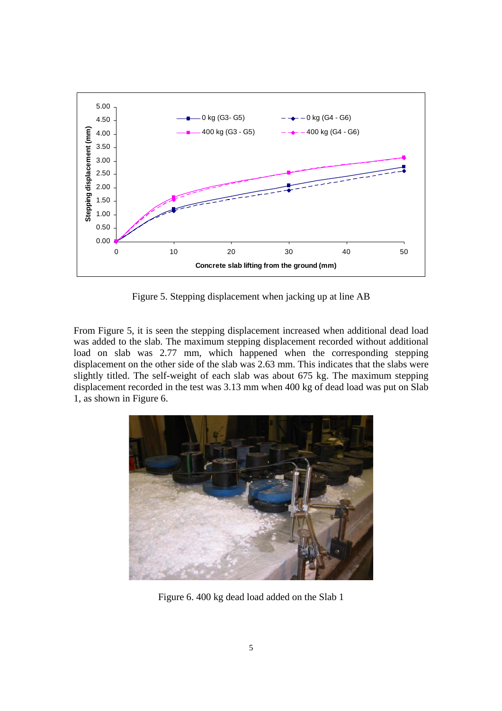

Figure 5. Stepping displacement when jacking up at line AB

From Figure 5, it is seen the stepping displacement increased when additional dead load was added to the slab. The maximum stepping displacement recorded without additional load on slab was 2.77 mm, which happened when the corresponding stepping displacement on the other side of the slab was 2.63 mm. This indicates that the slabs were slightly titled. The self-weight of each slab was about 675 kg. The maximum stepping displacement recorded in the test was 3.13 mm when 400 kg of dead load was put on Slab 1, as shown in Figure 6.



Figure 6. 400 kg dead load added on the Slab 1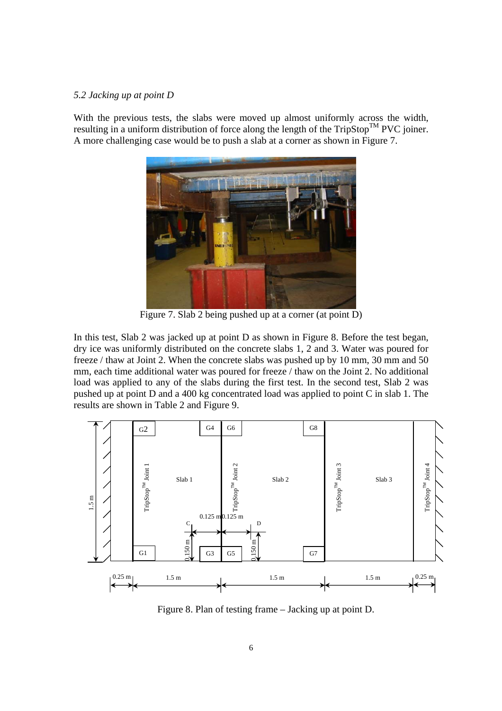#### *5.2 Jacking up at point D*

With the previous tests, the slabs were moved up almost uniformly across the width, resulting in a uniform distribution of force along the length of the  $TripStop^{TM}$  PVC joiner. A more challenging case would be to push a slab at a corner as shown in Figure 7.



Figure 7. Slab 2 being pushed up at a corner (at point D)

In this test, Slab 2 was jacked up at point D as shown in Figure 8. Before the test began, dry ice was uniformly distributed on the concrete slabs 1, 2 and 3. Water was poured for freeze / thaw at Joint 2. When the concrete slabs was pushed up by 10 mm, 30 mm and 50 mm, each time additional water was poured for freeze / thaw on the Joint 2. No additional load was applied to any of the slabs during the first test. In the second test, Slab 2 was pushed up at point D and a 400 kg concentrated load was applied to point C in slab 1. The results are shown in Table 2 and Figure 9.



Figure 8. Plan of testing frame – Jacking up at point D.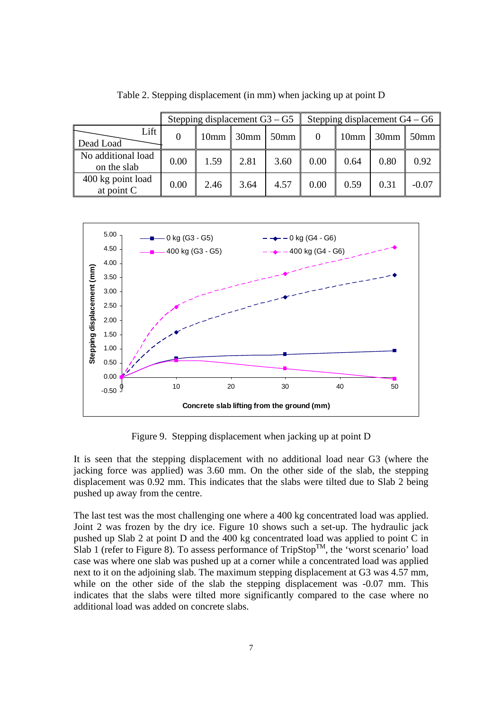|                                   | Stepping displacement $G3 - G5$ |                  |                |         | Stepping displacement $G4 - G6$ |                  |                  |                  |
|-----------------------------------|---------------------------------|------------------|----------------|---------|---------------------------------|------------------|------------------|------------------|
| Lift<br>Dead Load                 | $\theta$                        | 10 <sub>mm</sub> | $\sqrt{30}$ mm | $50$ mm |                                 | 10 <sub>mm</sub> | $\parallel$ 30mm | 50 <sub>mm</sub> |
| No additional load<br>on the slab | 0.00                            | 1.59             | 2.81           | 3.60    | 0.00                            | 0.64             | 0.80             | 0.92             |
| 400 kg point load<br>at point C   | 0.00                            | 2.46             | 3.64           | 4.57    | 0.00                            | 0.59             | 0.31             | $-0.07$          |

Table 2. Stepping displacement (in mm) when jacking up at point D



Figure 9. Stepping displacement when jacking up at point D

It is seen that the stepping displacement with no additional load near G3 (where the jacking force was applied) was 3.60 mm. On the other side of the slab, the stepping displacement was 0.92 mm. This indicates that the slabs were tilted due to Slab 2 being pushed up away from the centre.

The last test was the most challenging one where a 400 kg concentrated load was applied. Joint 2 was frozen by the dry ice. Figure 10 shows such a set-up. The hydraulic jack pushed up Slab 2 at point D and the 400 kg concentrated load was applied to point C in Slab 1 (refer to Figure 8). To assess performance of  $TripStop^{TM}$ , the 'worst scenario' load case was where one slab was pushed up at a corner while a concentrated load was applied next to it on the adjoining slab. The maximum stepping displacement at G3 was 4.57 mm, while on the other side of the slab the stepping displacement was  $-0.07$  mm. This indicates that the slabs were tilted more significantly compared to the case where no additional load was added on concrete slabs.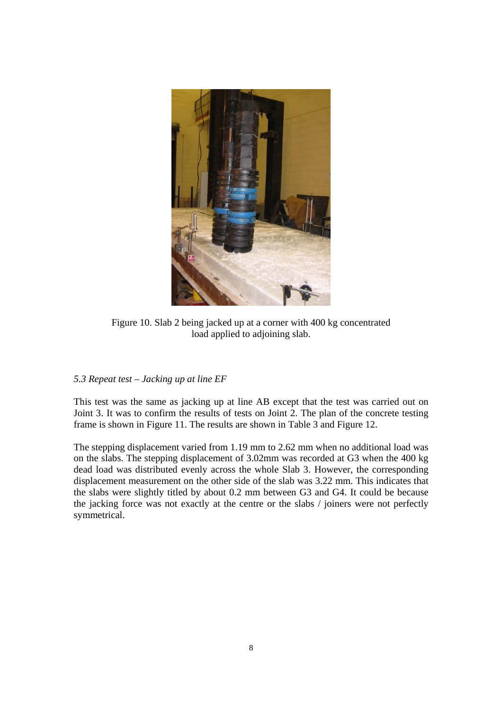

Figure 10. Slab 2 being jacked up at a corner with 400 kg concentrated load applied to adjoining slab.

## *5.3 Repeat test – Jacking up at line EF*

This test was the same as jacking up at line AB except that the test was carried out on Joint 3. It was to confirm the results of tests on Joint 2. The plan of the concrete testing frame is shown in Figure 11. The results are shown in Table 3 and Figure 12.

The stepping displacement varied from 1.19 mm to 2.62 mm when no additional load was on the slabs. The stepping displacement of 3.02mm was recorded at G3 when the 400 kg dead load was distributed evenly across the whole Slab 3. However, the corresponding displacement measurement on the other side of the slab was 3.22 mm. This indicates that the slabs were slightly titled by about 0.2 mm between G3 and G4. It could be because the jacking force was not exactly at the centre or the slabs / joiners were not perfectly symmetrical.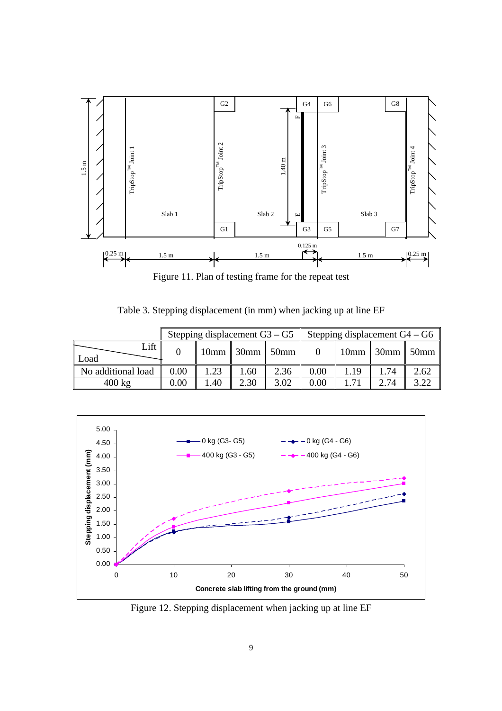

Figure 11. Plan of testing frame for the repeat test

|                    | Stepping displacement $G3 - G5$ |      |                    |      | Stepping displacement $G4 - G6$ |      |                         |      |
|--------------------|---------------------------------|------|--------------------|------|---------------------------------|------|-------------------------|------|
| Lift<br>Load       |                                 |      | $10mm$ 30mm $50mm$ |      |                                 |      | $10mm$ 30mm $\sim$ 50mm |      |
| No additional load | 0.00                            | 1.23 | 1.60               | 2.36 | 0.00                            | 1.19 |                         | 2.62 |
| $400 \text{ kg}$   | 0.00                            | .40  | 2.30               | 3.02 | 0.00                            |      | 2 74                    | 3.22 |



Figure 12. Stepping displacement when jacking up at line EF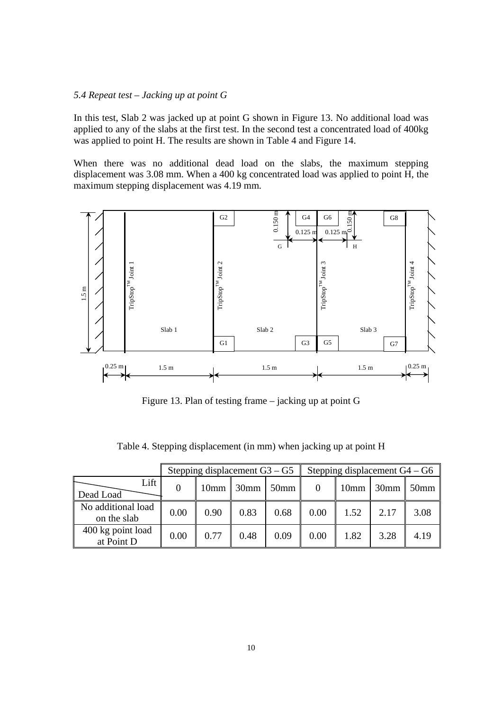## *5.4 Repeat test – Jacking up at point G*

In this test, Slab 2 was jacked up at point G shown in Figure 13. No additional load was applied to any of the slabs at the first test. In the second test a concentrated load of 400kg was applied to point H. The results are shown in Table 4 and Figure 14.

When there was no additional dead load on the slabs, the maximum stepping displacement was 3.08 mm. When a 400 kg concentrated load was applied to point H, the maximum stepping displacement was 4.19 mm.



Figure 13. Plan of testing frame – jacking up at point G

|                                   | Stepping displacement $G3 - G5$ |      |         |         | Stepping displacement $G4 - G6$ |                  |                  |                  |
|-----------------------------------|---------------------------------|------|---------|---------|---------------------------------|------------------|------------------|------------------|
| Lift<br>Dead Load                 |                                 | 10mm | $30$ mm | $50$ mm | $\overline{0}$                  | 10 <sub>mm</sub> | 30 <sub>mm</sub> | 50 <sub>mm</sub> |
| No additional load<br>on the slab | 0.00                            | 0.90 | 0.83    | 0.68    | 0.00                            | 1.52             | 2.17             | 3.08             |
| 400 kg point load<br>at Point D   | 0.00                            | 0.77 | 0.48    | 0.09    | 0.00                            | 1.82             | 3.28             | 4.19             |

Table 4. Stepping displacement (in mm) when jacking up at point H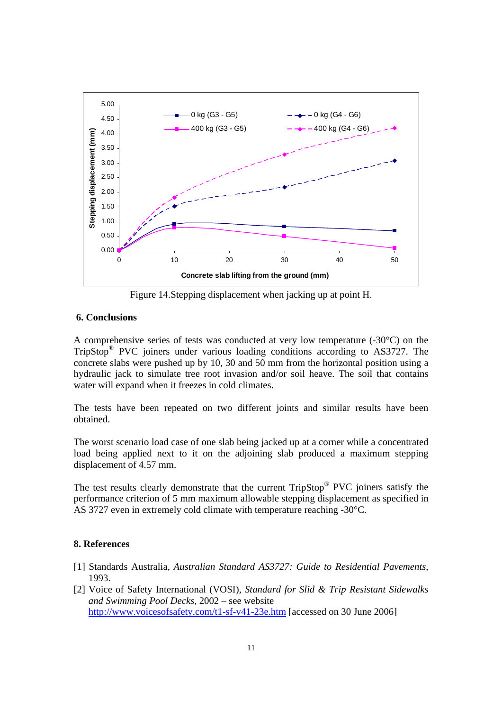

Figure 14.Stepping displacement when jacking up at point H.

## **6. Conclusions**

A comprehensive series of tests was conducted at very low temperature (-30°C) on the TripStop® PVC joiners under various loading conditions according to AS3727. The concrete slabs were pushed up by 10, 30 and 50 mm from the horizontal position using a hydraulic jack to simulate tree root invasion and/or soil heave. The soil that contains water will expand when it freezes in cold climates.

The tests have been repeated on two different joints and similar results have been obtained.

The worst scenario load case of one slab being jacked up at a corner while a concentrated load being applied next to it on the adjoining slab produced a maximum stepping displacement of 4.57 mm.

The test results clearly demonstrate that the current TripStop<sup>®</sup> PVC joiners satisfy the performance criterion of 5 mm maximum allowable stepping displacement as specified in AS 3727 even in extremely cold climate with temperature reaching -30°C.

## **8. References**

- [1] Standards Australia, *Australian Standard AS3727: Guide to Residential Pavements*, 1993.
- [2] Voice of Safety International (VOSI), *Standard for Slid & Trip Resistant Sidewalks and Swimming Pool Decks*, 2002 – see website http://www.voicesofsafety.com/t1-sf-v41-23e.htm [accessed on 30 June 2006]